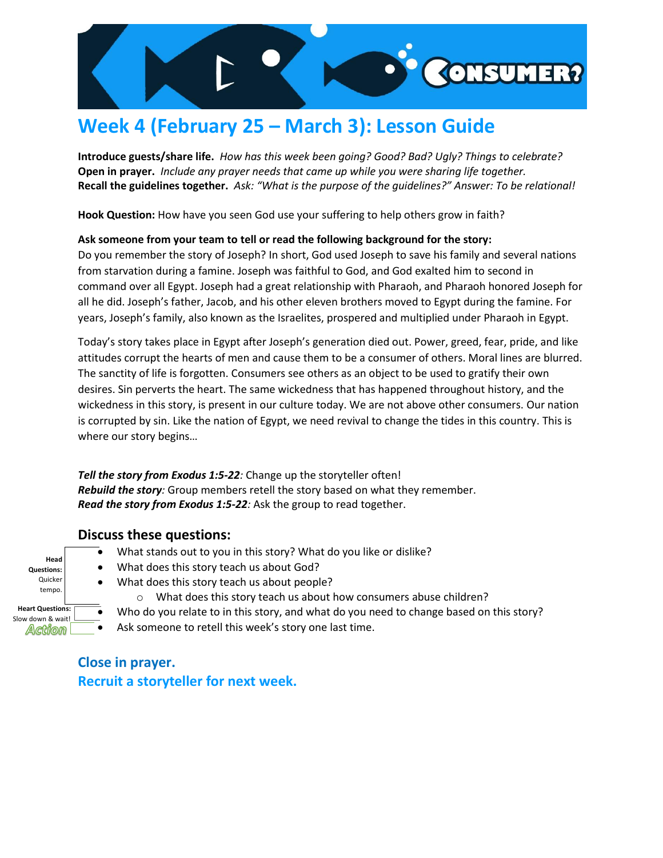

# **Week 4 (February 25 – March 3): Lesson Guide**

**Introduce guests/share life.** *How has this week been going? Good? Bad? Ugly? Things to celebrate?* **Open in prayer.** *Include any prayer needs that came up while you were sharing life together.* **Recall the guidelines together.** *Ask: "What is the purpose of the guidelines?" Answer: To be relational!*

**Hook Question:** How have you seen God use your suffering to help others grow in faith?

### **Ask someone from your team to tell or read the following background for the story:**

Do you remember the story of Joseph? In short, God used Joseph to save his family and several nations from starvation during a famine. Joseph was faithful to God, and God exalted him to second in command over all Egypt. Joseph had a great relationship with Pharaoh, and Pharaoh honored Joseph for all he did. Joseph's father, Jacob, and his other eleven brothers moved to Egypt during the famine. For years, Joseph's family, also known as the Israelites, prospered and multiplied under Pharaoh in Egypt.

Today's story takes place in Egypt after Joseph's generation died out. Power, greed, fear, pride, and like attitudes corrupt the hearts of men and cause them to be a consumer of others. Moral lines are blurred. The sanctity of life is forgotten. Consumers see others as an object to be used to gratify their own desires. Sin perverts the heart. The same wickedness that has happened throughout history, and the wickedness in this story, is present in our culture today. We are not above other consumers. Our nation is corrupted by sin. Like the nation of Egypt, we need revival to change the tides in this country. This is where our story begins…

*Tell the story from Exodus 1:5-22:* Change up the storyteller often! *Rebuild the story:* Group members retell the story based on what they remember. *Read the story from Exodus 1:5-22:* Ask the group to read together.

### **Discuss these questions:**

- What stands out to you in this story? What do you like or dislike?
- What does this story teach us about God?
- Quicker tempo. • What does this story teach us about people?

**Head Questions:**

**Heart Questions:**  Slow down & wait!

Action

- o What does this story teach us about how consumers abuse children?
- Who do you relate to in this story, and what do you need to change based on this story?
- Ask someone to retell this week's story one last time.

## **Close in prayer. Recruit a storyteller for next week.**